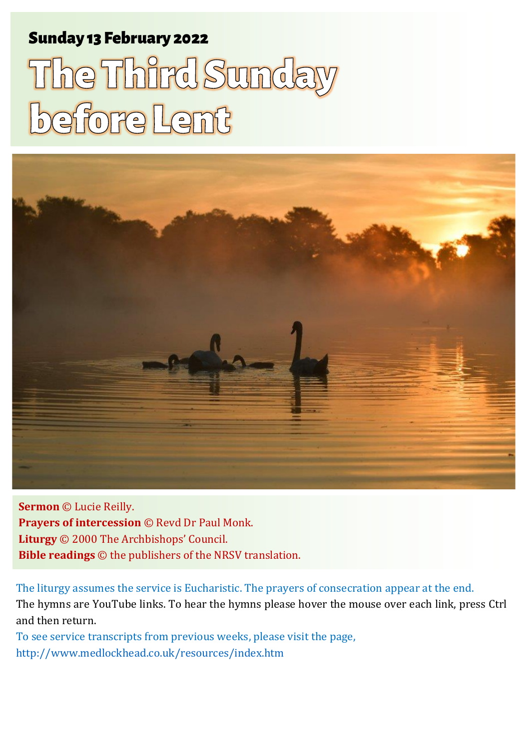### Sunday 13 February 2022 1 The Third Sunday 13 February 2022 1 The Third Sunday 1

# The Third Sunday before Lent



**Sermon** © Lucie Reilly. **Prayers of intercession** © Revd Dr Paul Monk. **Liturgy** © 2000 The Archbishops' Council. **Bible readings** © the publishers of the NRSV translation.

The liturgy assumes the service is Eucharistic. The prayers of consecration appear at the end. The hymns are YouTube links. To hear the hymns please hover the mouse over each link, press Ctrl and then return.

To see service transcripts from previous weeks, please visit the page, <http://www.medlockhead.co.uk/resources/index.htm>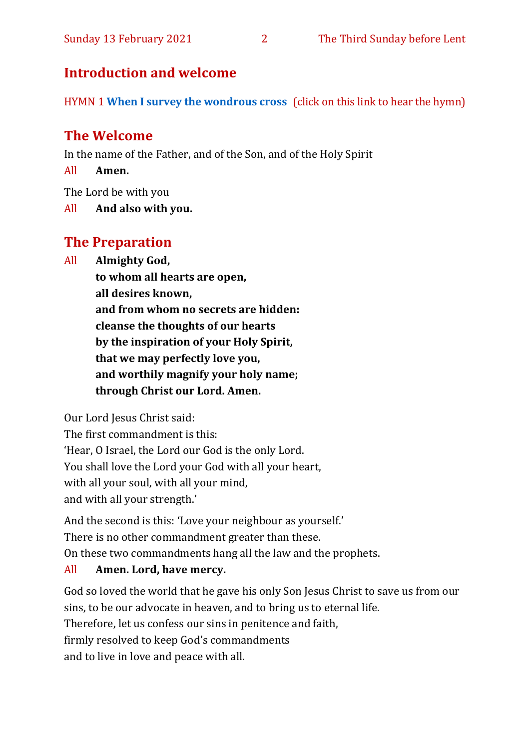#### **Introduction and welcome**

HYMN 1 **[When I survey the wondrous cross](https://www.youtube.com/watch?v=iK8kYlBn_qI)** (click on this link to hear the hymn)

#### **The Welcome**

In the name of the Father, and of the Son, and of the Holy Spirit

All **Amen.**

The Lord be with you

All **And also with you.**

#### **The Preparation**

All **Almighty God,**

**to whom all hearts are open, all desires known, and from whom no secrets are hidden: cleanse the thoughts of our hearts by the inspiration of your Holy Spirit, that we may perfectly love you, and worthily magnify your holy name; through Christ our Lord. Amen.**

Our Lord Jesus Christ said:

The first commandment is this: 'Hear, O Israel, the Lord our God is the only Lord. You shall love the Lord your God with all your heart, with all your soul, with all your mind, and with all your strength.'

And the second is this: 'Love your neighbour as yourself.' There is no other commandment greater than these. On these two commandments hang all the law and the prophets.

#### All **Amen. Lord, have mercy.**

God so loved the world that he gave his only Son Jesus Christ to save us from our sins, to be our advocate in heaven, and to bring us to eternal life. Therefore, let us confess our sins in penitence and faith, firmly resolved to keep God's commandments and to live in love and peace with all.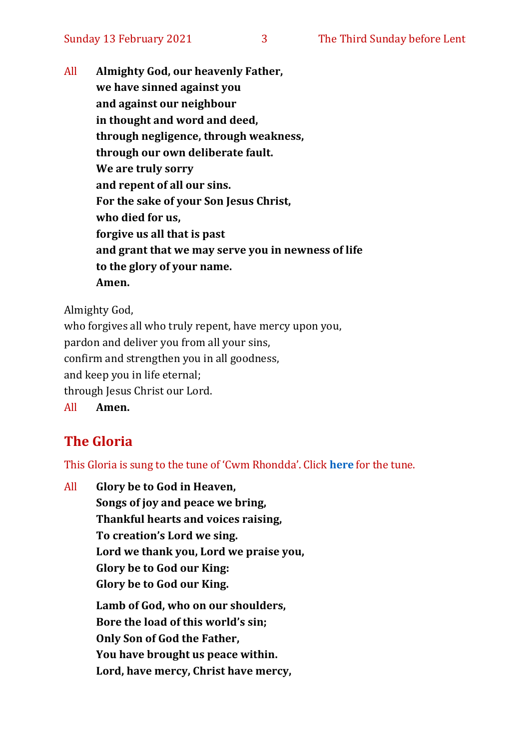All **Almighty God, our heavenly Father, we have sinned against you and against our neighbour in thought and word and deed, through negligence, through weakness, through our own deliberate fault. We are truly sorry and repent of all our sins. For the sake of your Son Jesus Christ, who died for us, forgive us all that is past and grant that we may serve you in newness of life to the glory of your name. Amen.**

Almighty God,

who forgives all who truly repent, have mercy upon you, pardon and deliver you from all your sins, confirm and strengthen you in all goodness, and keep you in life eternal; through Jesus Christ our Lord. All **Amen.**

#### **The Gloria**

This Gloria is sung to the tune of 'Cwm Rhondda'. Click **[here](about:blank)** for the tune.

All **Glory be to God in Heaven, Songs of joy and peace we bring, Thankful hearts and voices raising, To creation's Lord we sing. Lord we thank you, Lord we praise you, Glory be to God our King: Glory be to God our King. Lamb of God, who on our shoulders, Bore the load of this world's sin; Only Son of God the Father,**

**You have brought us peace within.**

**Lord, have mercy, Christ have mercy,**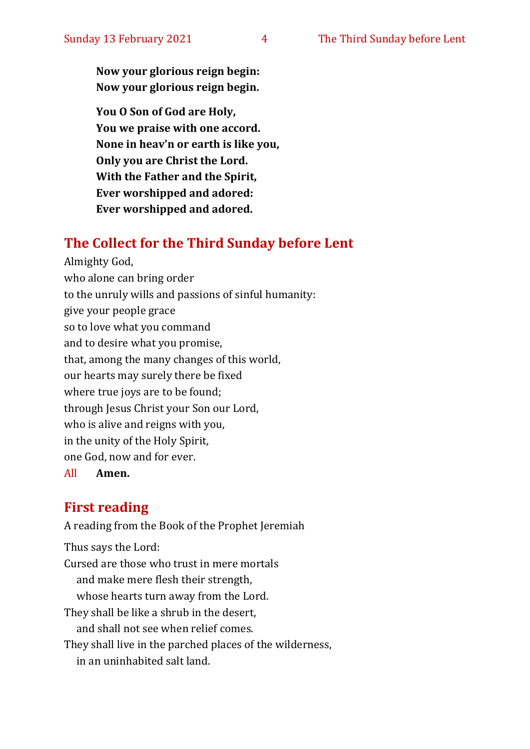**Now your glorious reign begin: Now your glorious reign begin.**

**You O Son of God are Holy, You we praise with one accord. None in heav'n or earth is like you, Only you are Christ the Lord. With the Father and the Spirit, Ever worshipped and adored: Ever worshipped and adored.**

#### **The Collect for the Third Sunday before Lent**

Almighty God, who alone can bring order to the unruly wills and passions of sinful humanity: give your people grace so to love what you command and to desire what you promise, that, among the many changes of this world, our hearts may surely there be fixed where true joys are to be found; through Jesus Christ your Son our Lord, who is alive and reigns with you, in the unity of the Holy Spirit, one God, now and for ever. All **Amen.**

# **First reading**

A reading from the Book of the Prophet Jeremiah Thus says the Lord: Cursed are those who trust in mere mortals and make mere flesh their strength, whose hearts turn away from the Lord. They shall be like a shrub in the desert, and shall not see when relief comes. They shall live in the parched places of the wilderness, in an uninhabited salt land.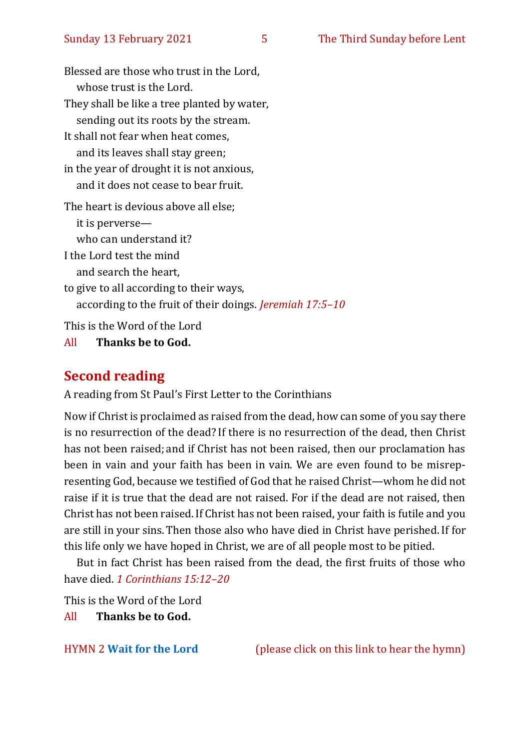Blessed are those who trust in the Lord, whose trust is the Lord. They shall be like a tree planted by water, sending out its roots by the stream. It shall not fear when heat comes, and its leaves shall stay green; in the year of drought it is not anxious, and it does not cease to bear fruit. The heart is devious above all else; it is perverse who can understand it? I the Lord test the mind and search the heart, to give to all according to their ways, according to the fruit of their doings. *Jeremiah 17:5–10* This is the Word of the Lord

All **Thanks be to God.**

#### **Second reading**

A reading from St Paul's First Letter to the Corinthians

Now if Christ is proclaimed as raised from the dead, how can some of you say there is no resurrection of the dead? If there is no resurrection of the dead, then Christ has not been raised; and if Christ has not been raised, then our proclamation has been in vain and your faith has been in vain. We are even found to be misrepresenting God, because we testified of God that he raised Christ—whom he did not raise if it is true that the dead are not raised. For if the dead are not raised, then Christ has not been raised.If Christ has not been raised, your faith is futile and you are still in your sins. Then those also who have died in Christ have perished. If for this life only we have hoped in Christ, we are of all people most to be pitied.

But in fact Christ has been raised from the dead, the first fruits of those who have died. *1 Corinthians 15:12–20*

This is the Word of the Lord

All **Thanks be to God.**

HYMN 2 **[Wait for the Lord](https://www.youtube.com/watch?v=2OEcMxhvfGo&t=3s)** (please click on this link to hear the hymn)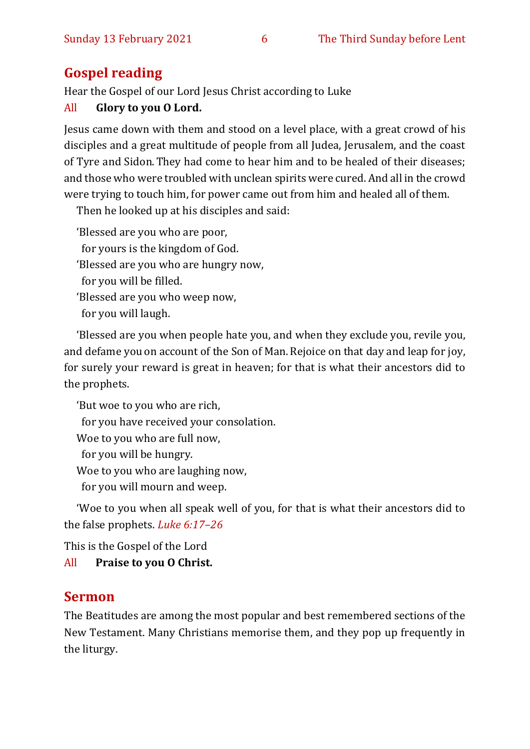#### **Gospel reading**

Hear the Gospel of our Lord Jesus Christ according to Luke

All **Glory to you O Lord.**

Jesus came down with them and stood on a level place, with a great crowd of his disciples and a great multitude of people from all Judea, Jerusalem, and the coast of Tyre and Sidon.They had come to hear him and to be healed of their diseases; and those who were troubled with unclean spirits were cured. And all in the crowd were trying to touch him, for power came out from him and healed all of them.

Then he looked up at his disciples and said:

'Blessed are you who are poor, for yours is the kingdom of God. 'Blessed are you who are hungry now, for you will be filled. 'Blessed are you who weep now, for you will laugh.

'Blessed are you when people hate you, and when they exclude you, revile you, and defame you on account of the Son of Man. Rejoice on that day and leap for joy, for surely your reward is great in heaven; for that is what their ancestors did to the prophets.

'But woe to you who are rich, for you have received your consolation. Woe to you who are full now, for you will be hungry. Woe to you who are laughing now, for you will mourn and weep.

'Woe to you when all speak well of you, for that is what their ancestors did to the false prophets. *Luke 6:17–26*

This is the Gospel of the Lord

All **Praise to you O Christ.** 

#### **Sermon**

The Beatitudes are among the most popular and best remembered sections of the New Testament. Many Christians memorise them, and they pop up frequently in the liturgy.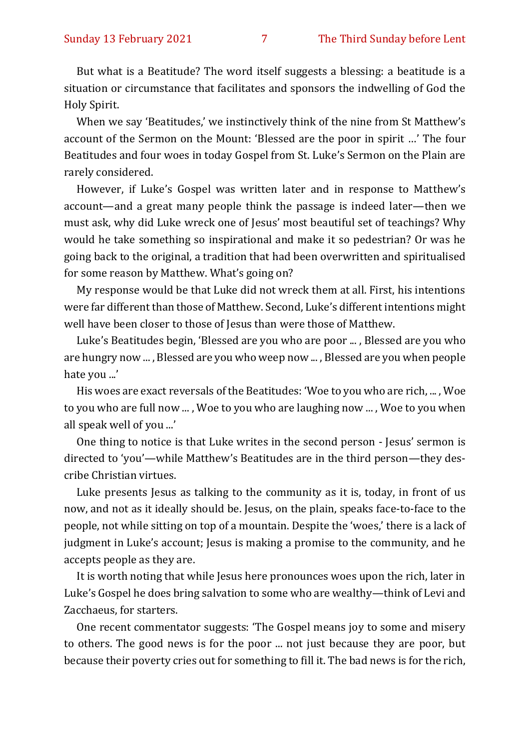But what is a Beatitude? The word itself suggests a blessing: a beatitude is a situation or circumstance that facilitates and sponsors the indwelling of God the Holy Spirit.

When we say 'Beatitudes,' we instinctively think of the nine from St Matthew's account of the Sermon on the Mount: 'Blessed are the poor in spirit …' The four Beatitudes and four woes in today Gospel from St. Luke's Sermon on the Plain are rarely considered.

However, if Luke's Gospel was written later and in response to Matthew's account—and a great many people think the passage is indeed later—then we must ask, why did Luke wreck one of Jesus' most beautiful set of teachings? Why would he take something so inspirational and make it so pedestrian? Or was he going back to the original, a tradition that had been overwritten and spiritualised for some reason by Matthew. What's going on?

My response would be that Luke did not wreck them at all. First, his intentions were far different than those of Matthew. Second, Luke's different intentions might well have been closer to those of Jesus than were those of Matthew.

Luke's Beatitudes begin, 'Blessed are you who are poor ... , Blessed are you who are hungry now ... , Blessed are you who weep now ... , Blessed are you when people hate you ...'

His woes are exact reversals of the Beatitudes: 'Woe to you who are rich, ... , Woe to you who are full now ... , Woe to you who are laughing now ... , Woe to you when all speak well of you ...'

One thing to notice is that Luke writes in the second person - Jesus' sermon is directed to 'you'—while Matthew's Beatitudes are in the third person—they describe Christian virtues.

Luke presents Jesus as talking to the community as it is, today, in front of us now, and not as it ideally should be. Jesus, on the plain, speaks face-to-face to the people, not while sitting on top of a mountain. Despite the 'woes,' there is a lack of judgment in Luke's account; Jesus is making a promise to the community, and he accepts people as they are.

It is worth noting that while Jesus here pronounces woes upon the rich, later in Luke's Gospel he does bring salvation to some who are wealthy—think of Levi and Zacchaeus, for starters.

One recent commentator suggests: 'The Gospel means joy to some and misery to others. The good news is for the poor ... not just because they are poor, but because their poverty cries out for something to fill it. The bad news is for the rich,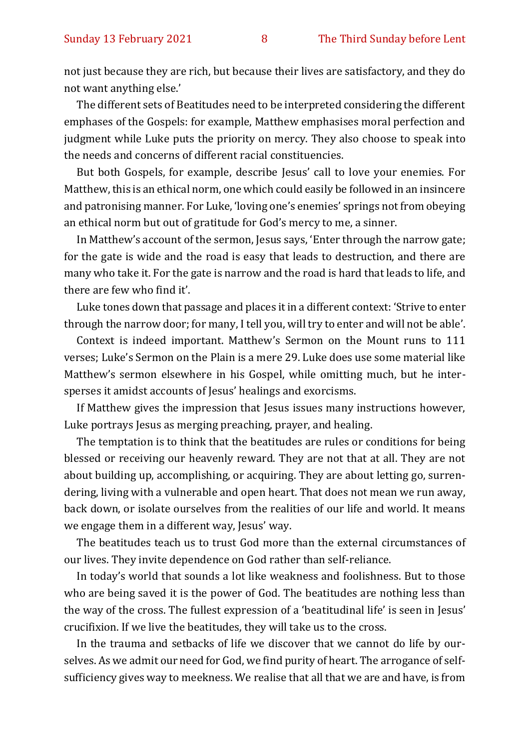not just because they are rich, but because their lives are satisfactory, and they do not want anything else.'

The different sets of Beatitudes need to be interpreted considering the different emphases of the Gospels: for example, Matthew emphasises moral perfection and judgment while Luke puts the priority on mercy. They also choose to speak into the needs and concerns of different racial constituencies.

But both Gospels, for example, describe Jesus' call to love your enemies. For Matthew, this is an ethical norm, one which could easily be followed in an insincere and patronising manner. For Luke, 'loving one's enemies' springs not from obeying an ethical norm but out of gratitude for God's mercy to me, a sinner.

In Matthew's account of the sermon, Jesus says, 'Enter through the narrow gate; for the gate is wide and the road is easy that leads to destruction, and there are many who take it. For the gate is narrow and the road is hard that leads to life, and there are few who find it'.

Luke tones down that passage and places it in a different context: 'Strive to enter through the narrow door; for many, I tell you, will try to enter and will not be able'.

Context is indeed important. Matthew's Sermon on the Mount runs to 111 verses; Luke's Sermon on the Plain is a mere 29. Luke does use some material like Matthew's sermon elsewhere in his Gospel, while omitting much, but he intersperses it amidst accounts of Jesus' healings and exorcisms.

If Matthew gives the impression that Jesus issues many instructions however, Luke portrays Jesus as merging preaching, prayer, and healing.

The temptation is to think that the beatitudes are rules or conditions for being blessed or receiving our heavenly reward. They are not that at all. They are not about building up, accomplishing, or acquiring. They are about letting go, surrendering, living with a vulnerable and open heart. That does not mean we run away, back down, or isolate ourselves from the realities of our life and world. It means we engage them in a different way, Jesus' way.

The beatitudes teach us to trust God more than the external circumstances of our lives. They invite dependence on God rather than self-reliance.

In today's world that sounds a lot like weakness and foolishness. But to those who are being saved it is the power of God. The beatitudes are nothing less than the way of the cross. The fullest expression of a 'beatitudinal life' is seen in Jesus' crucifixion. If we live the beatitudes, they will take us to the cross.

In the trauma and setbacks of life we discover that we cannot do life by ourselves. As we admit our need for God, we find purity of heart. The arrogance of selfsufficiency gives way to meekness. We realise that all that we are and have, is from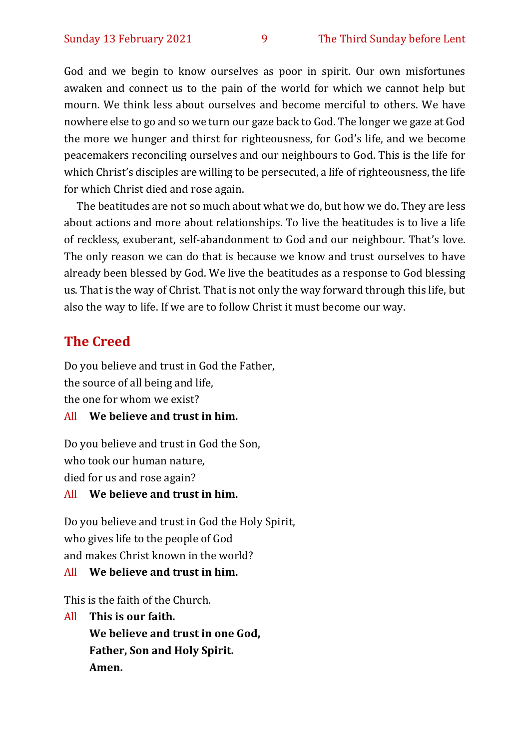God and we begin to know ourselves as poor in spirit. Our own misfortunes awaken and connect us to the pain of the world for which we cannot help but mourn. We think less about ourselves and become merciful to others. We have nowhere else to go and so we turn our gaze back to God. The longer we gaze at God the more we hunger and thirst for righteousness, for God's life, and we become peacemakers reconciling ourselves and our neighbours to God. This is the life for which Christ's disciples are willing to be persecuted, a life of righteousness, the life for which Christ died and rose again.

The beatitudes are not so much about what we do, but how we do. They are less about actions and more about relationships. To live the beatitudes is to live a life of reckless, exuberant, self-abandonment to God and our neighbour. That's love. The only reason we can do that is because we know and trust ourselves to have already been blessed by God. We live the beatitudes as a response to God blessing us. That is the way of Christ. That is not only the way forward through this life, but also the way to life. If we are to follow Christ it must become our way.

#### **The Creed**

Do you believe and trust in God the Father, the source of all being and life, the one for whom we exist?

#### All **We believe and trust in him.**

Do you believe and trust in God the Son, who took our human nature, died for us and rose again?

#### All **We believe and trust in him.**

Do you believe and trust in God the Holy Spirit, who gives life to the people of God and makes Christ known in the world?

#### All **We believe and trust in him.**

This is the faith of the Church.

All **This is our faith. We believe and trust in one God, Father, Son and Holy Spirit. Amen.**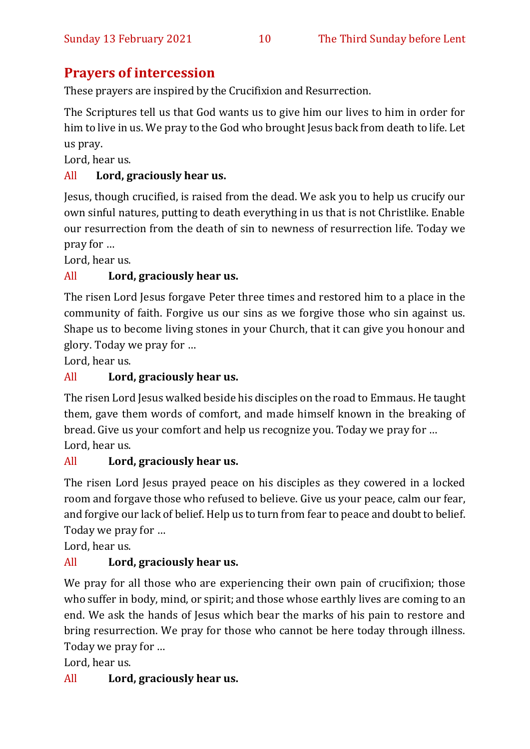#### **Prayers of intercession**

These prayers are inspired by the Crucifixion and Resurrection.

The Scriptures tell us that God wants us to give him our lives to him in order for him to live in us. We pray to the God who brought Jesus back from death to life. Let us pray.

Lord, hear us.

#### All **Lord, graciously hear us.**

Jesus, though crucified, is raised from the dead. We ask you to help us crucify our own sinful natures, putting to death everything in us that is not Christlike. Enable our resurrection from the death of sin to newness of resurrection life. Today we pray for …

Lord, hear us.

#### All **Lord, graciously hear us.**

The risen Lord Jesus forgave Peter three times and restored him to a place in the community of faith. Forgive us our sins as we forgive those who sin against us. Shape us to become living stones in your Church, that it can give you honour and glory. Today we pray for …

Lord, hear us.

#### All **Lord, graciously hear us.**

The risen Lord Jesus walked beside his disciples on the road to Emmaus. He taught them, gave them words of comfort, and made himself known in the breaking of bread. Give us your comfort and help us recognize you. Today we pray for … Lord, hear us.

#### All **Lord, graciously hear us.**

The risen Lord Jesus prayed peace on his disciples as they cowered in a locked room and forgave those who refused to believe. Give us your peace, calm our fear, and forgive our lack of belief. Help us to turn from fear to peace and doubt to belief. Today we pray for …

Lord, hear us.

#### All **Lord, graciously hear us.**

We pray for all those who are experiencing their own pain of crucifixion; those who suffer in body, mind, or spirit; and those whose earthly lives are coming to an end. We ask the hands of Jesus which bear the marks of his pain to restore and bring resurrection. We pray for those who cannot be here today through illness. Today we pray for …

Lord, hear us.

#### All **Lord, graciously hear us.**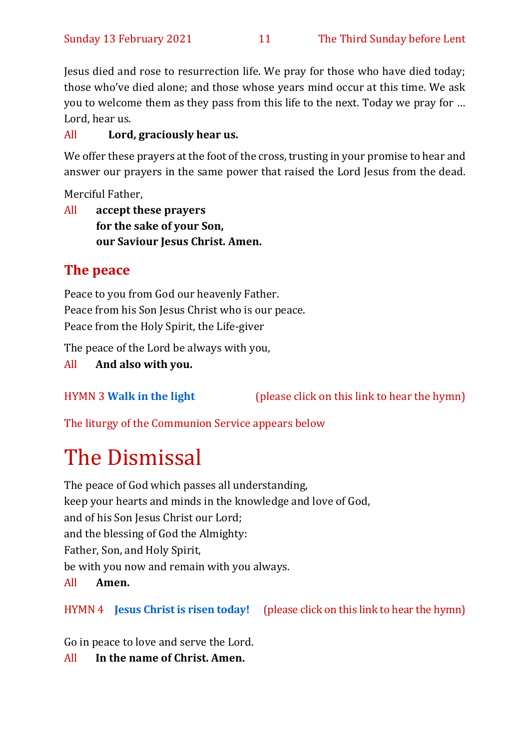Jesus died and rose to resurrection life. We pray for those who have died today; those who've died alone; and those whose years mind occur at this time. We ask you to welcome them as they pass from this life to the next. Today we pray for … Lord, hear us.

#### All **Lord, graciously hear us.**

We offer these prayers at the foot of the cross, trusting in your promise to hear and answer our prayers in the same power that raised the Lord Jesus from the dead.

Merciful Father,

All **accept these prayers for the sake of your Son, our Saviour Jesus Christ. Amen.**

#### **The peace**

Peace to you from God our heavenly Father. Peace from his Son Jesus Christ who is our peace. Peace from the Holy Spirit, the Life-giver

The peace of the Lord be always with you,

All **And also with you.**

HYMN 3 **[Walk in](https://youtu.be/dnt4ST8HGQA) the light** (please click on this link to hear the hymn)

The liturgy of the Communion Service appears below

# The Dismissal

The peace of God which passes all understanding, keep your hearts and minds in the knowledge and love of God, and of his Son Jesus Christ our Lord; and the blessing of God the Almighty: Father, Son, and Holy Spirit, be with you now and remain with you always. All **Amen.**

HYMN 4 **Jesus [Christ is risen today!](https://www.youtube.com/watch?v=X1brSOs0lMc)** (please click on this link to hear the hymn)

Go in peace to love and serve the Lord.

All **In the name of Christ. Amen.**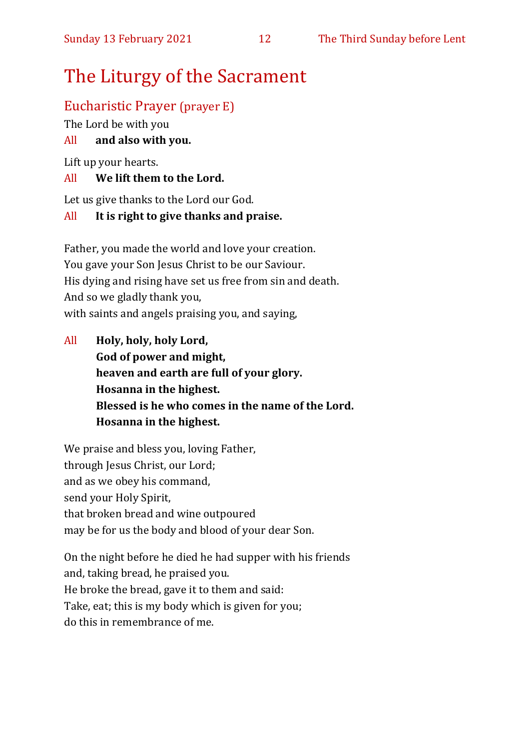## The Liturgy of the Sacrament

#### Eucharistic Prayer (prayer E)

The Lord be with you

#### All **and also with you.**

Lift up your hearts.

#### All **We lift them to the Lord.**

Let us give thanks to the Lord our God.

#### All **It is right to give thanks and praise.**

Father, you made the world and love your creation. You gave your Son Jesus Christ to be our Saviour. His dying and rising have set us free from sin and death. And so we gladly thank you, with saints and angels praising you, and saying,

All **Holy, holy, holy Lord, God of power and might, heaven and earth are full of your glory. Hosanna in the highest. Blessed is he who comes in the name of the Lord. Hosanna in the highest.**

We praise and bless you, loving Father, through Jesus Christ, our Lord; and as we obey his command, send your Holy Spirit, that broken bread and wine outpoured may be for us the body and blood of your dear Son.

On the night before he died he had supper with his friends and, taking bread, he praised you. He broke the bread, gave it to them and said: Take, eat; this is my body which is given for you; do this in remembrance of me.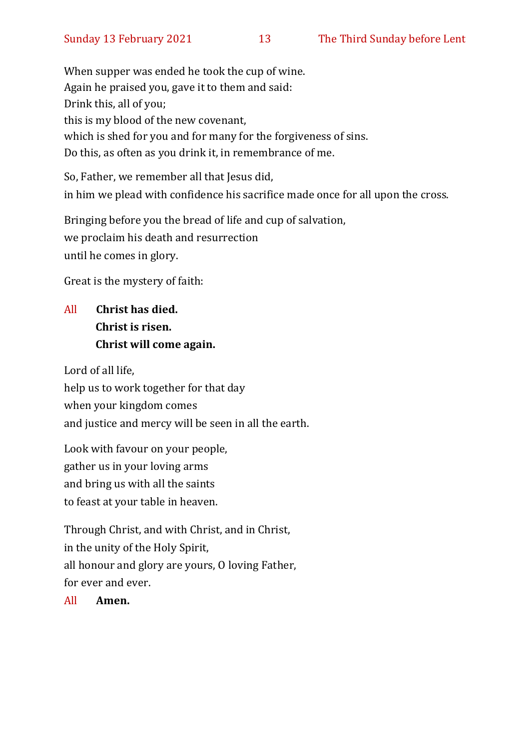When supper was ended he took the cup of wine. Again he praised you, gave it to them and said: Drink this, all of you; this is my blood of the new covenant, which is shed for you and for many for the forgiveness of sins. Do this, as often as you drink it, in remembrance of me.

So, Father, we remember all that Jesus did, in him we plead with confidence his sacrifice made once for all upon the cross.

Bringing before you the bread of life and cup of salvation, we proclaim his death and resurrection until he comes in glory.

Great is the mystery of faith:

#### All **Christ has died. Christ is risen. Christ will come again.**

Lord of all life, help us to work together for that day when your kingdom comes and justice and mercy will be seen in all the earth.

Look with favour on your people, gather us in your loving arms and bring us with all the saints to feast at your table in heaven.

Through Christ, and with Christ, and in Christ, in the unity of the Holy Spirit, all honour and glory are yours, O loving Father, for ever and ever.

All **Amen.**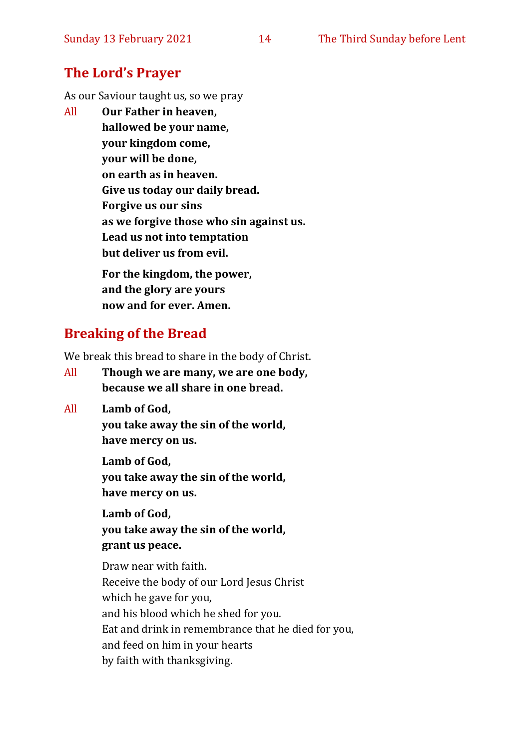#### **The Lord's Prayer**

As our Saviour taught us, so we pray

All **Our Father in heaven, hallowed be your name, your kingdom come, your will be done, on earth as in heaven. Give us today our daily bread. Forgive us our sins as we forgive those who sin against us. Lead us not into temptation but deliver us from evil.**

**For the kingdom, the power, and the glory are yours now and for ever. Amen.**

#### **Breaking of the Bread**

We break this bread to share in the body of Christ.

- All **Though we are many, we are one body, because we all share in one bread.**
- All **Lamb of God,**

**you take away the sin of the world, have mercy on us.**

**Lamb of God, you take away the sin of the world, have mercy on us.**

**Lamb of God,** 

**you take away the sin of the world, grant us peace.**

Draw near with faith. Receive the body of our Lord Jesus Christ which he gave for you, and his blood which he shed for you. Eat and drink in remembrance that he died for you, and feed on him in your hearts by faith with thanksgiving.